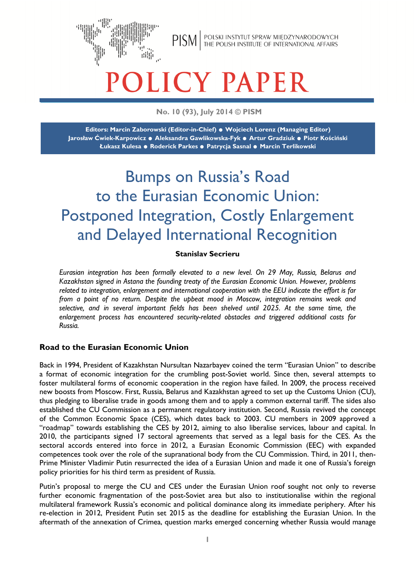

# LICY PAPER

### **No. 10 (93), July 2014 © PISM**

**Editors: Marcin Zaborowski (Editor-in-Chief) . Wojciech Lorenz (Managing Editor) Jarosław Ćwiek-Karpowicz . Aleksandra Gawlikowska-Fyk . Artur Gradziuk . Piotr Kościński Łukasz Kulesa . Roderick Parkes . Patrycja Sasnal . Marcin Terlikowski** 

# Bumps on Russia's Road to the Eurasian Economic Union: Postponed Integration, Costly Enlargement and Delayed International Recognition

#### **Stanislav Secrieru**

*Eurasian integration has been formally elevated to a new level. On 29 May, Russia, Belarus and Kazakhstan signed in Astana the founding treaty of the Eurasian Economic Union. However, problems related to integration, enlargement and international cooperation with the EEU indicate the effort is far from a point of no return. Despite the upbeat mood in Moscow, integration remains weak and selective, and in several important fields has been shelved until 2025. At the same time, the enlargement process has encountered security-related obstacles and triggered additional costs for Russia.* 

#### **Road to the Eurasian Economic Union**

Back in 1994, President of Kazakhstan Nursultan Nazarbayev coined the term "Eurasian Union" to describe a format of economic integration for the crumbling post-Soviet world. Since then, several attempts to foster multilateral forms of economic cooperation in the region have failed. In 2009, the process received new boosts from Moscow. First, Russia, Belarus and Kazakhstan agreed to set up the Customs Union (CU), thus pledging to liberalise trade in goods among them and to apply a common external tariff. The sides also established the CU Commission as a permanent regulatory institution. Second, Russia revived the concept of the Common Economic Space (CES), which dates back to 2003. CU members in 2009 approved a "roadmap" towards establishing the CES by 2012, aiming to also liberalise services, labour and capital. In 2010, the participants signed 17 sectoral agreements that served as a legal basis for the CES. As the sectoral accords entered into force in 2012, a Eurasian Economic Commission (EEC) with expanded competences took over the role of the supranational body from the CU Commission. Third, in 2011, then-Prime Minister Vladimir Putin resurrected the idea of a Eurasian Union and made it one of Russia's foreign policy priorities for his third term as president of Russia.

Putin's proposal to merge the CU and CES under the Eurasian Union roof sought not only to reverse further economic fragmentation of the post-Soviet area but also to institutionalise within the regional multilateral framework Russia's economic and political dominance along its immediate periphery. After his re-election in 2012, President Putin set 2015 as the deadline for establishing the Eurasian Union. In the aftermath of the annexation of Crimea, question marks emerged concerning whether Russia would manage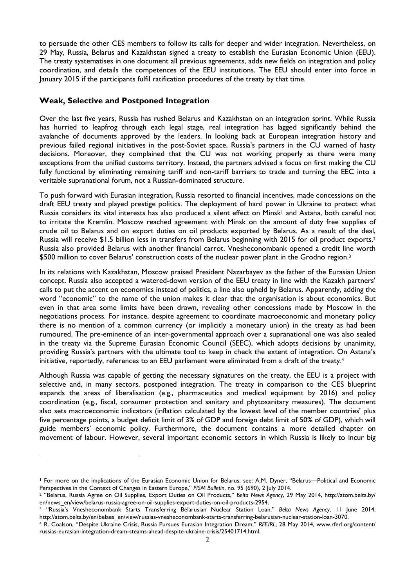to persuade the other CES members to follow its calls for deeper and wider integration. Nevertheless, on 29 May, Russia, Belarus and Kazakhstan signed a treaty to establish the Eurasian Economic Union (EEU). The treaty systematises in one document all previous agreements, adds new fields on integration and policy coordination, and details the competences of the EEU institutions. The EEU should enter into force in January 2015 if the participants fulfil ratification procedures of the treaty by that time.

#### **Weak, Selective and Postponed Integration**

 $\overline{a}$ 

Over the last five years, Russia has rushed Belarus and Kazakhstan on an integration sprint. While Russia has hurried to leapfrog through each legal stage, real integration has lagged significantly behind the avalanche of documents approved by the leaders. In looking back at European integration history and previous failed regional initiatives in the post-Soviet space, Russia's partners in the CU warned of hasty decisions. Moreover, they complained that the CU was not working properly as there were many exceptions from the unified customs territory. Instead, the partners advised a focus on first making the CU fully functional by eliminating remaining tariff and non-tariff barriers to trade and turning the EEC into a veritable supranational forum, not a Russian-dominated structure.

To push forward with Eurasian integration, Russia resorted to financial incentives, made concessions on the draft EEU treaty and played prestige politics. The deployment of hard power in Ukraine to protect what Russia considers its vital interests has also produced a silent effect on Minsk<sup>1</sup> and Astana, both careful not to irritate the Kremlin. Moscow reached agreement with Minsk on the amount of duty free supplies of crude oil to Belarus and on export duties on oil products exported by Belarus. As a result of the deal, Russia will receive \$1.5 billion less in transfers from Belarus beginning with 2015 for oil product exports.<sup>2</sup> Russia also provided Belarus with another financial carrot. Vnesheconombank opened a credit line worth \$500 million to cover Belarus' construction costs of the nuclear power plant in the Grodno region.<sup>3</sup>

In its relations with Kazakhstan, Moscow praised President Nazarbayev as the father of the Eurasian Union concept. Russia also accepted a watered-down version of the EEU treaty in line with the Kazakh partners' calls to put the accent on economics instead of politics, a line also upheld by Belarus. Apparently, adding the word "economic" to the name of the union makes it clear that the organisation is about economics. But even in that area some limits have been drawn, revealing other concessions made by Moscow in the negotiations process. For instance, despite agreement to coordinate macroeconomic and monetary policy there is no mention of a common currency (or implicitly a monetary union) in the treaty as had been rumoured. The pre-eminence of an inter-governmental approach over a supranational one was also sealed in the treaty via the Supreme Eurasian Economic Council (SEEC), which adopts decisions by unanimity, providing Russia's partners with the ultimate tool to keep in check the extent of integration. On Astana's initiative, reportedly, references to an EEU parliament were eliminated from a draft of the treaty.<sup>4</sup>

Although Russia was capable of getting the necessary signatures on the treaty, the EEU is a project with selective and, in many sectors, postponed integration. The treaty in comparison to the CES blueprint expands the areas of liberalisation (e.g., pharmaceutics and medical equipment by 2016) and policy coordination (e.g., fiscal, consumer protection and sanitary and phytosanitary measures). The document also sets macroeconomic indicators (inflation calculated by the lowest level of the member countries' plus five percentage points, a budget deficit limit of 3% of GDP and foreign debt limit of 50% of GDP), which will guide members' economic policy. Furthermore, the document contains a more detailed chapter on movement of labour. However, several important economic sectors in which Russia is likely to incur big

<sup>1</sup> For more on the implications of the Eurasian Economic Union for Belarus, see: A.M. Dyner, "Belarus—Political and Economic Perspectives in the Context of Changes in Eastern Europe," *PISM Bulletin*, no. 95 (690), 2 July 2014.

<sup>2</sup> "Belarus, Russia Agree on Oil Supplies, Export Duties on Oil Products," *Belta News Agency*, 29 May 2014, http://atom.belta.by/ en/news\_en/view/belarus-russia-agree-on-oil-supplies-export-duties-on-oil-products-2954.

<sup>3</sup> "Russia's Vnesheconombank Starts Transferring Belarusian Nuclear Station Loan," *Belta News Agency*, 11 June 2014, http://atom.belta.by/en/belaes\_en/view/russias-vnesheconombank-starts-transferring-belarusian-nuclear-station-loan-3070.

<sup>4</sup> R. Coalson, "Despite Ukraine Crisis, Russia Pursues Eurasian Integration Dream," *RFE/RL*, 28 May 2014, www.rferl.org/content/ russias-eurasian-integration-dream-steams-ahead-despite-ukraine-crisis/25401714.html.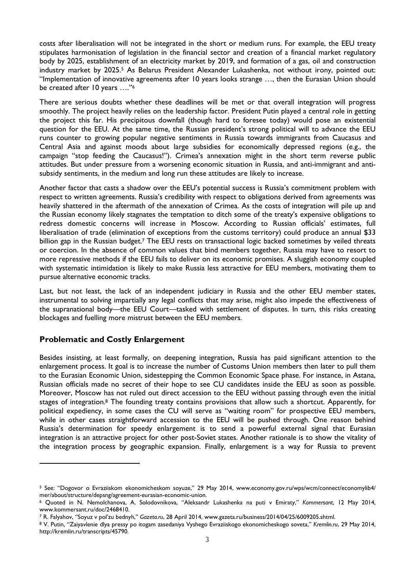costs after liberalisation will not be integrated in the short or medium runs. For example, the EEU treaty stipulates harmonisation of legislation in the financial sector and creation of a financial market regulatory body by 2025, establishment of an electricity market by 2019, and formation of a gas, oil and construction industry market by 2025.<sup>5</sup> As Belarus President Alexander Lukashenka, not without irony, pointed out: "Implementation of innovative agreements after 10 years looks strange …, then the Eurasian Union should be created after 10 years …."<sup>6</sup>

There are serious doubts whether these deadlines will be met or that overall integration will progress smoothly. The project heavily relies on the leadership factor. President Putin played a central role in getting the project this far. His precipitous downfall (though hard to foresee today) would pose an existential question for the EEU. At the same time, the Russian president's strong political will to advance the EEU runs counter to growing popular negative sentiments in Russia towards immigrants from Caucasus and Central Asia and against moods about large subsidies for economically depressed regions (e.g., the campaign "stop feeding the Caucasus!"). Crimea's annexation might in the short term reverse public attitudes. But under pressure from a worsening economic situation in Russia, and anti-immigrant and antisubsidy sentiments, in the medium and long run these attitudes are likely to increase.

Another factor that casts a shadow over the EEU's potential success is Russia's commitment problem with respect to written agreements. Russia's credibility with respect to obligations derived from agreements was heavily shattered in the aftermath of the annexation of Crimea. As the costs of integration will pile up and the Russian economy likely stagnates the temptation to ditch some of the treaty's expensive obligations to redress domestic concerns will increase in Moscow. According to Russian officials' estimates, full liberalisation of trade (elimination of exceptions from the customs territory) could produce an annual \$33 billion gap in the Russian budget.<sup>7</sup> The EEU rests on transactional logic backed sometimes by veiled threats or coercion. In the absence of common values that bind members together, Russia may have to resort to more repressive methods if the EEU fails to deliver on its economic promises. A sluggish economy coupled with systematic intimidation is likely to make Russia less attractive for EEU members, motivating them to pursue alternative economic tracks.

Last, but not least, the lack of an independent judiciary in Russia and the other EEU member states, instrumental to solving impartially any legal conflicts that may arise, might also impede the effectiveness of the supranational body—the EEU Court—tasked with settlement of disputes. In turn, this risks creating blockages and fuelling more mistrust between the EEU members.

#### **Problematic and Costly Enlargement**

 $\overline{a}$ 

Besides insisting, at least formally, on deepening integration, Russia has paid significant attention to the enlargement process. It goal is to increase the number of Customs Union members then later to pull them to the Eurasian Economic Union, sidestepping the Common Economic Space phase. For instance, in Astana, Russian officials made no secret of their hope to see CU candidates inside the EEU as soon as possible. Moreover, Moscow has not ruled out direct accession to the EEU without passing through even the initial stages of integration.<sup>8</sup> The founding treaty contains provisions that allow such a shortcut. Apparently, for political expediency, in some cases the CU will serve as "waiting room" for prospective EEU members, while in other cases straightforward accession to the EEU will be pushed through. One reason behind Russia's determination for speedy enlargement is to send a powerful external signal that Eurasian integration is an attractive project for other post-Soviet states. Another rationale is to show the vitality of the integration process by geographic expansion. Finally, enlargement is a way for Russia to prevent

<sup>5</sup> See: "Dogovor o Evraziiskom ekonomicheskom soyuze," 29 May 2014, www.economy.gov.ru/wps/wcm/connect/economylib4/ mer/about/structure/depsng/agreement-eurasian-economic-union.

<sup>6</sup> Quoted in N. Nemolchanova, A. Solodovnikova, "Aleksandr Lukashenka na puti v Emiraty," *Kommersant*, 12 May 2014, www.kommersant.ru/doc/2468410.

<sup>7</sup> R. Falyahov, "Soyuz v pol'zu bednyh," *Gazeta.ru*, 28 April 2014, www.gazeta.ru/business/2014/04/25/6009205.shtml.

<sup>8</sup> V. Putin, "Zaiyavlenie dlya pressy po itogam zasedaniya Vyshego Evraziiskogo ekonomicheskogo soveta," *Kremlin.ru*, 29 May 2014, http://kremlin.ru/transcripts/45790.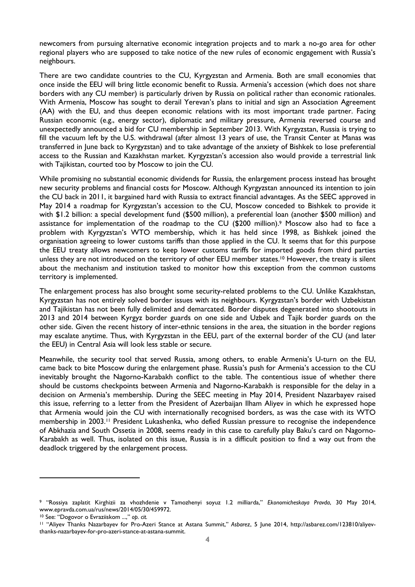newcomers from pursuing alternative economic integration projects and to mark a no-go area for other regional players who are supposed to take notice of the new rules of economic engagement with Russia's neighbours.

There are two candidate countries to the CU, Kyrgyzstan and Armenia. Both are small economies that once inside the EEU will bring little economic benefit to Russia. Armenia's accession (which does not share borders with any CU member) is particularly driven by Russia on political rather than economic rationales. With Armenia, Moscow has sought to derail Yerevan's plans to initial and sign an Association Agreement (AA) with the EU, and thus deepen economic relations with its most important trade partner. Facing Russian economic (e.g., energy sector), diplomatic and military pressure, Armenia reversed course and unexpectedly announced a bid for CU membership in September 2013. With Kyrgyzstan, Russia is trying to fill the vacuum left by the U.S. withdrawal (after almost 13 years of use, the Transit Center at Manas was transferred in June back to Kyrgyzstan) and to take advantage of the anxiety of Bishkek to lose preferential access to the Russian and Kazakhstan market. Kyrgyzstan's accession also would provide a terrestrial link with Tajikistan, courted too by Moscow to join the CU.

While promising no substantial economic dividends for Russia, the enlargement process instead has brought new security problems and financial costs for Moscow. Although Kyrgyzstan announced its intention to join the CU back in 2011, it bargained hard with Russia to extract financial advantages. As the SEEC approved in May 2014 a roadmap for Kyrgyzstan's accession to the CU, Moscow conceded to Bishkek to provide it with \$1.2 billion: a special development fund (\$500 million), a preferential loan (another \$500 million) and assistance for implementation of the roadmap to the CU (\$200 million).9 Moscow also had to face a problem with Kyrgyzstan's WTO membership, which it has held since 1998, as Bishkek joined the organisation agreeing to lower customs tariffs than those applied in the CU. It seems that for this purpose the EEU treaty allows newcomers to keep lower customs tariffs for imported goods from third parties unless they are not introduced on the territory of other EEU member states.<sup>10</sup> However, the treaty is silent about the mechanism and institution tasked to monitor how this exception from the common customs territory is implemented.

The enlargement process has also brought some security-related problems to the CU. Unlike Kazakhstan, Kyrgyzstan has not entirely solved border issues with its neighbours. Kyrgyzstan's border with Uzbekistan and Tajikistan has not been fully delimited and demarcated. Border disputes degenerated into shootouts in 2013 and 2014 between Kyrgyz border guards on one side and Uzbek and Tajik border guards on the other side. Given the recent history of inter-ethnic tensions in the area, the situation in the border regions may escalate anytime. Thus, with Kyrgyzstan in the EEU, part of the external border of the CU (and later the EEU) in Central Asia will look less stable or secure.

Meanwhile, the security tool that served Russia, among others, to enable Armenia's U-turn on the EU, came back to bite Moscow during the enlargement phase. Russia's push for Armenia's accession to the CU inevitably brought the Nagorno-Karabakh conflict to the table. The contentious issue of whether there should be customs checkpoints between Armenia and Nagorno-Karabakh is responsible for the delay in a decision on Armenia's membership. During the SEEC meeting in May 2014, President Nazarbayev raised this issue, referring to a letter from the President of Azerbaijan Ilham Aliyev in which he expressed hope that Armenia would join the CU with internationally recognised borders, as was the case with its WTO membership in 2003.<sup>11</sup> President Lukashenka, who defied Russian pressure to recognise the independence of Abkhazia and South Ossetia in 2008, seems ready in this case to carefully play Baku's card on Nagorno-Karabakh as well. Thus, isolated on this issue, Russia is in a difficult position to find a way out from the deadlock triggered by the enlargement process.

l

<sup>9</sup> "Rossiya zaplatit Kirghizii za vhozhdenie v Tamozhenyi soyuz 1.2 milliarda," *Ekonomicheskaya Pravda*, 30 May 2014, www.epravda.com.ua/rus/news/2014/05/30/459972.

<sup>10</sup> See: "Dogovor o Evraziiskom ...," *op. cit.*

<sup>11</sup> "Aliyev Thanks Nazarbayev for Pro-Azeri Stance at Astana Summit," *Asbarez*, 5 June 2014, http://asbarez.com/123810/aliyevthanks-nazarbayev-for-pro-azeri-stance-at-astana-summit.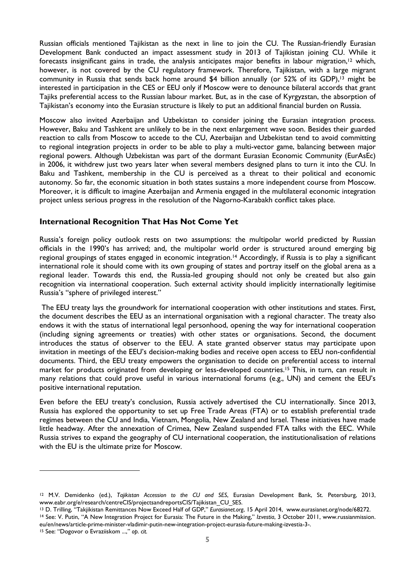Russian officials mentioned Tajikistan as the next in line to join the CU. The Russian-friendly Eurasian Development Bank conducted an impact assessment study in 2013 of Tajikistan joining CU. While it forecasts insignificant gains in trade, the analysis anticipates major benefits in labour migration,<sup>12</sup> which, however, is not covered by the CU regulatory framework. Therefore, Tajikistan, with a large migrant community in Russia that sends back home around  $$4$  billion annually (or 52% of its GDP),<sup>13</sup> might be interested in participation in the CES or EEU only if Moscow were to denounce bilateral accords that grant Tajiks preferential access to the Russian labour market. But, as in the case of Kyrgyzstan, the absorption of Tajikistan's economy into the Eurasian structure is likely to put an additional financial burden on Russia.

Moscow also invited Azerbaijan and Uzbekistan to consider joining the Eurasian integration process. However, Baku and Tashkent are unlikely to be in the next enlargement wave soon. Besides their guarded reaction to calls from Moscow to accede to the CU, Azerbaijan and Uzbekistan tend to avoid committing to regional integration projects in order to be able to play a multi-vector game, balancing between major regional powers. Although Uzbekistan was part of the dormant Eurasian Economic Community (EurAsEc) in 2006, it withdrew just two years later when several members designed plans to turn it into the CU. In Baku and Tashkent, membership in the CU is perceived as a threat to their political and economic autonomy. So far, the economic situation in both states sustains a more independent course from Moscow. Moreover, it is difficult to imagine Azerbaijan and Armenia engaged in the multilateral economic integration project unless serious progress in the resolution of the Nagorno-Karabakh conflict takes place.

#### **International Recognition That Has Not Come Yet**

Russia's foreign policy outlook rests on two assumptions: the multipolar world predicted by Russian officials in the 1990's has arrived; and, the multipolar world order is structured around emerging big regional groupings of states engaged in economic integration.14 Accordingly, if Russia is to play a significant international role it should come with its own grouping of states and portray itself on the global arena as a regional leader. Towards this end, the Russia-led grouping should not only be created but also gain recognition via international cooperation. Such external activity should implicitly internationally legitimise Russia's "sphere of privileged interest."

 The EEU treaty lays the groundwork for international cooperation with other institutions and states. First, the document describes the EEU as an international organisation with a regional character. The treaty also endows it with the status of international legal personhood, opening the way for international cooperation (including signing agreements or treaties) with other states or organisations. Second, the document introduces the status of observer to the EEU. A state granted observer status may participate upon invitation in meetings of the EEU's decision-making bodies and receive open access to EEU non-confidential documents. Third, the EEU treaty empowers the organisation to decide on preferential access to internal market for products originated from developing or less-developed countries.15 This, in turn, can result in many relations that could prove useful in various international forums (e.g., UN) and cement the EEU's positive international reputation.

Even before the EEU treaty's conclusion, Russia actively advertised the CU internationally. Since 2013, Russia has explored the opportunity to set up Free Trade Areas (FTA) or to establish preferential trade regimes between the CU and India, Vietnam, Mongolia, New Zealand and Israel. These initiatives have made little headway. After the annexation of Crimea, New Zealand suspended FTA talks with the EEC. While Russia strives to expand the geography of CU international cooperation, the institutionalisation of relations with the EU is the ultimate prize for Moscow.

15 See: "Dogovor o Evraziiskom ...," *op. cit.*

l

<sup>12</sup> M.V. Demidenko (ed.), *Tajikistan Accession to the CU and SES*, Eurasian Development Bank, St. Petersburg, 2013, www.eabr.org/e/research/centreCIS/projectsandreportsCIS/Tajikistan\_CU\_SES.

<sup>13</sup> D. Trilling, "Takjikistan Remittances Now Exceed Half of GDP," *Eurasianet.org*, 15 April 2014, www.eurasianet.org/node/68272.

<sup>14</sup> See: V. Putin, "A New Integration Project for Eurasia: The Future in the Making," *Izvestia*, 3 October 2011, www.russianmission. eu/en/news/article-prime-minister-vladimir-putin-new-integration-project-eurasia-future-making-izvestia-3-.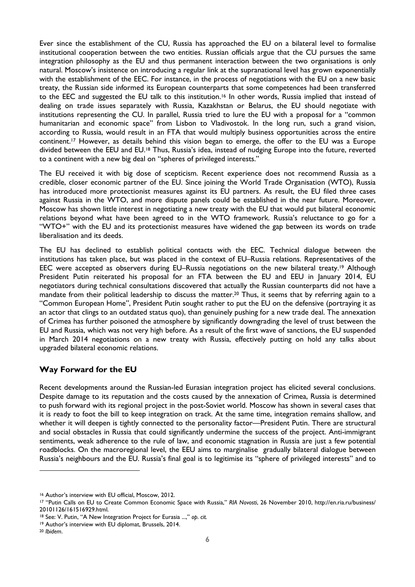Ever since the establishment of the CU, Russia has approached the EU on a bilateral level to formalise institutional cooperation between the two entities. Russian officials argue that the CU pursues the same integration philosophy as the EU and thus permanent interaction between the two organisations is only natural. Moscow's insistence on introducing a regular link at the supranational level has grown exponentially with the establishment of the EEC. For instance, in the process of negotiations with the EU on a new basic treaty, the Russian side informed its European counterparts that some competences had been transferred to the EEC and suggested the EU talk to this institution.<sup>16</sup> In other words, Russia implied that instead of dealing on trade issues separately with Russia, Kazakhstan or Belarus, the EU should negotiate with institutions representing the CU. In parallel, Russia tried to lure the EU with a proposal for a "common humanitarian and economic space" from Lisbon to Vladivostok. In the long run, such a grand vision, according to Russia, would result in an FTA that would multiply business opportunities across the entire continent.17 However, as details behind this vision began to emerge, the offer to the EU was a Europe divided between the EEU and EU.<sup>18</sup> Thus, Russia's idea, instead of nudging Europe into the future, reverted to a continent with a new big deal on "spheres of privileged interests."

The EU received it with big dose of scepticism. Recent experience does not recommend Russia as a credible, closer economic partner of the EU. Since joining the World Trade Organisation (WTO), Russia has introduced more protectionist measures against its EU partners. As result, the EU filed three cases against Russia in the WTO, and more dispute panels could be established in the near future. Moreover, Moscow has shown little interest in negotiating a new treaty with the EU that would put bilateral economic relations beyond what have been agreed to in the WTO framework. Russia's reluctance to go for a "WTO+" with the EU and its protectionist measures have widened the gap between its words on trade liberalisation and its deeds.

The EU has declined to establish political contacts with the EEC. Technical dialogue between the institutions has taken place, but was placed in the context of EU–Russia relations. Representatives of the EEC were accepted as observers during EU–Russia negotiations on the new bilateral treaty.19 Although President Putin reiterated his proposal for an FTA between the EU and EEU in January 2014, EU negotiators during technical consultations discovered that actually the Russian counterparts did not have a mandate from their political leadership to discuss the matter.<sup>20</sup> Thus, it seems that by referring again to a "Common European Home", President Putin sought rather to put the EU on the defensive (portraying it as an actor that clings to an outdated status quo), than genuinely pushing for a new trade deal. The annexation of Crimea has further poisoned the atmosphere by significantly downgrading the level of trust between the EU and Russia, which was not very high before. As a result of the first wave of sanctions, the EU suspended in March 2014 negotiations on a new treaty with Russia, effectively putting on hold any talks about upgraded bilateral economic relations.

## **Way Forward for the EU**

Recent developments around the Russian-led Eurasian integration project has elicited several conclusions. Despite damage to its reputation and the costs caused by the annexation of Crimea, Russia is determined to push forward with its regional project in the post-Soviet world. Moscow has shown in several cases that it is ready to foot the bill to keep integration on track. At the same time, integration remains shallow, and whether it will deepen is tightly connected to the personality factor—President Putin. There are structural and social obstacles in Russia that could significantly undermine the success of the project. Anti-immigrant sentiments, weak adherence to the rule of law, and economic stagnation in Russia are just a few potential roadblocks. On the macroregional level, the EEU aims to marginalise gradually bilateral dialogue between Russia's neighbours and the EU. Russia's final goal is to legitimise its "sphere of privileged interests" and to

l

<sup>16</sup> Author's interview with EU official, Moscow, 2012.

<sup>17</sup> "Putin Calls on EU to Create Common Economic Space with Russia," *RIA Novosti*, 26 November 2010, http://en.ria.ru/business/ 20101126/161516929.html.

<sup>18</sup> See: V. Putin, "A New Integration Project for Eurasia ...," *op. cit.*

<sup>19</sup> Author's interview with EU diplomat, Brussels, 2014.

<sup>20</sup> *Ibidem*.